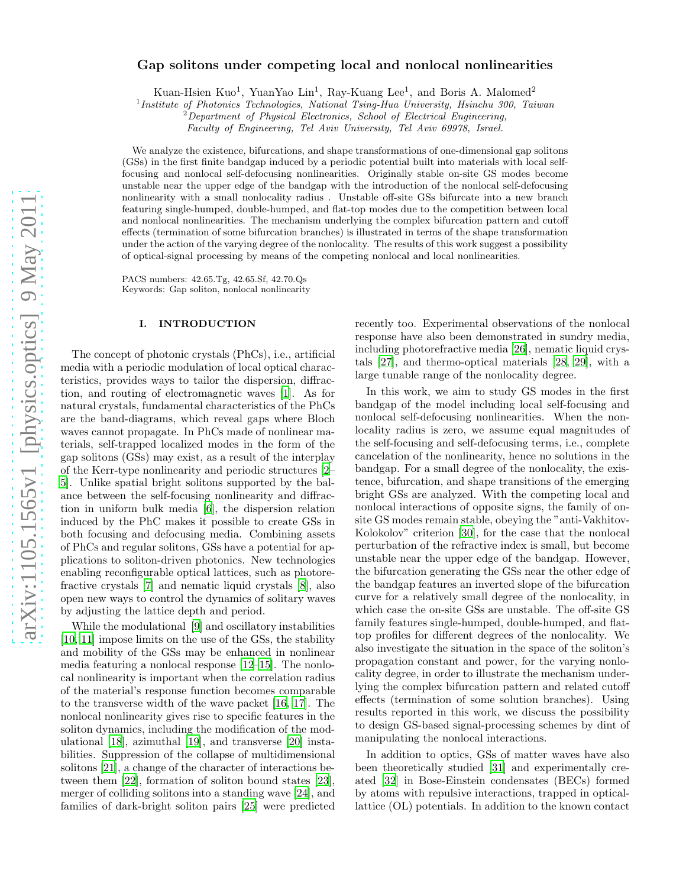# Gap solitons under competing local and nonlocal nonlinearities

Kuan-Hsien Kuo<sup>1</sup>, YuanYao Lin<sup>1</sup>, Ray-Kuang Lee<sup>1</sup>, and Boris A. Malomed<sup>2</sup>

1 *Institute of Photonics Technologies, National Tsing-Hua University, Hsinchu 300, Taiwan*

<sup>2</sup>*Department of Physical Electronics, School of Electrical Engineering,*

*Faculty of Engineering, Tel Aviv University, Tel Aviv 69978, Israel.*

We analyze the existence, bifurcations, and shape transformations of one-dimensional gap solitons (GSs) in the first finite bandgap induced by a periodic potential built into materials with local selffocusing and nonlocal self-defocusing nonlinearities. Originally stable on-site GS modes become unstable near the upper edge of the bandgap with the introduction of the nonlocal self-defocusing nonlinearity with a small nonlocality radius . Unstable off-site GSs bifurcate into a new branch featuring single-humped, double-humped, and flat-top modes due to the competition between local and nonlocal nonlinearities. The mechanism underlying the complex bifurcation pattern and cutoff effects (termination of some bifurcation branches) is illustrated in terms of the shape transformation under the action of the varying degree of the nonlocality. The results of this work suggest a possibility of optical-signal processing by means of the competing nonlocal and local nonlinearities.

PACS numbers: 42.65.Tg, 42.65.Sf, 42.70.Qs Keywords: Gap soliton, nonlocal nonlinearity

#### I. INTRODUCTION

The concept of photonic crystals (PhCs), i.e., artificial media with a periodic modulation of local optical characteristics, provides ways to tailor the dispersion, diffraction, and routing of electromagnetic waves [\[1\]](#page-6-0). As for natural crystals, fundamental characteristics of the PhCs are the band-diagrams, which reveal gaps where Bloch waves cannot propagate. In PhCs made of nonlinear materials, self-trapped localized modes in the form of the gap solitons (GSs) may exist, as a result of the interplay of the Kerr-type nonlinearity and periodic structures [\[2](#page-6-1)– [5](#page-6-2)]. Unlike spatial bright solitons supported by the balance between the self-focusing nonlinearity and diffraction in uniform bulk media [\[6\]](#page-6-3), the dispersion relation induced by the PhC makes it possible to create GSs in both focusing and defocusing media. Combining assets of PhCs and regular solitons, GSs have a potential for applications to soliton-driven photonics. New technologies enabling reconfigurable optical lattices, such as photorefractive crystals [\[7\]](#page-6-4) and nematic liquid crystals [\[8\]](#page-6-5), also open new ways to control the dynamics of solitary waves by adjusting the lattice depth and period.

While the modulational [\[9](#page-6-6)] and oscillatory instabilities [\[10,](#page-6-7) [11\]](#page-6-8) impose limits on the use of the GSs, the stability and mobility of the GSs may be enhanced in nonlinear media featuring a nonlocal response [\[12](#page-6-9)[–15\]](#page-6-10). The nonlocal nonlinearity is important when the correlation radius of the material's response function becomes comparable to the transverse width of the wave packet [\[16,](#page-6-11) [17\]](#page-6-12). The nonlocal nonlinearity gives rise to specific features in the soliton dynamics, including the modification of the modulational [\[18\]](#page-6-13), azimuthal [\[19\]](#page-6-14), and transverse [\[20\]](#page-6-15) instabilities. Suppression of the collapse of multidimensional solitons [\[21](#page-6-16)], a change of the character of interactions between them [\[22](#page-6-17)], formation of soliton bound states [\[23\]](#page-6-18), merger of colliding solitons into a standing wave [\[24\]](#page-6-19), and families of dark-bright soliton pairs [\[25\]](#page-6-20) were predicted

recently too. Experimental observations of the nonlocal response have also been demonstrated in sundry media, including photorefractive media [\[26\]](#page-6-21), nematic liquid crystals [\[27\]](#page-6-22), and thermo-optical materials [\[28,](#page-6-23) [29\]](#page-6-24), with a large tunable range of the nonlocality degree.

In this work, we aim to study GS modes in the first bandgap of the model including local self-focusing and nonlocal self-defocusing nonlinearities. When the nonlocality radius is zero, we assume equal magnitudes of the self-focusing and self-defocusing terms, i.e., complete cancelation of the nonlinearity, hence no solutions in the bandgap. For a small degree of the nonlocality, the existence, bifurcation, and shape transitions of the emerging bright GSs are analyzed. With the competing local and nonlocal interactions of opposite signs, the family of onsite GS modes remain stable, obeying the "anti-Vakhitov-Kolokolov" criterion [\[30](#page-6-25)], for the case that the nonlocal perturbation of the refractive index is small, but become unstable near the upper edge of the bandgap. However, the bifurcation generating the GSs near the other edge of the bandgap features an inverted slope of the bifurcation curve for a relatively small degree of the nonlocality, in which case the on-site GSs are unstable. The off-site GS family features single-humped, double-humped, and flattop profiles for different degrees of the nonlocality. We also investigate the situation in the space of the soliton's propagation constant and power, for the varying nonlocality degree, in order to illustrate the mechanism underlying the complex bifurcation pattern and related cutoff effects (termination of some solution branches). Using results reported in this work, we discuss the possibility to design GS-based signal-processing schemes by dint of manipulating the nonlocal interactions.

In addition to optics, GSs of matter waves have also been theoretically studied [\[31](#page-7-0)] and experimentally created [\[32](#page-7-1)] in Bose-Einstein condensates (BECs) formed by atoms with repulsive interactions, trapped in opticallattice (OL) potentials. In addition to the known contact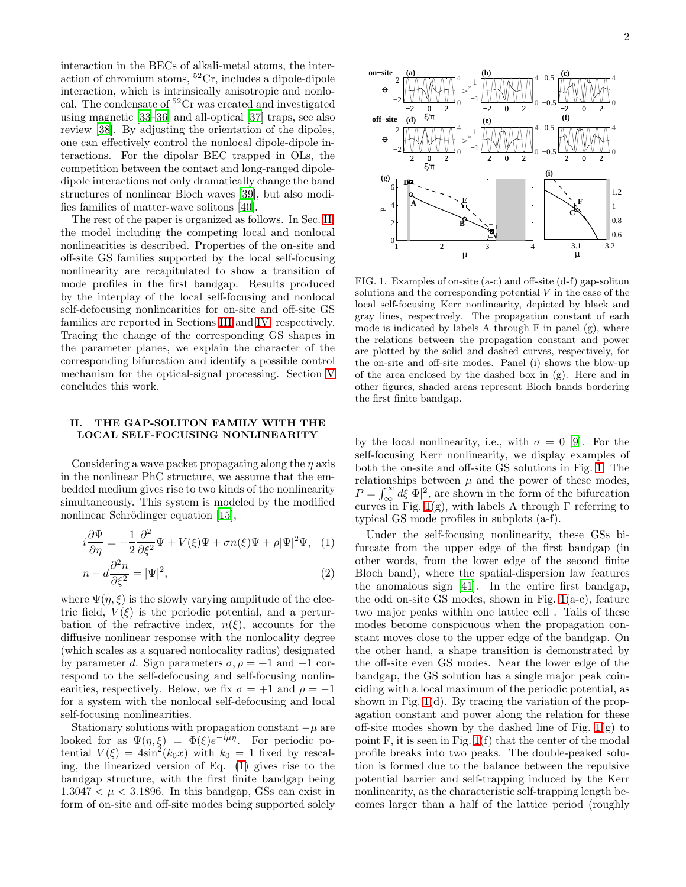interaction in the BECs of alkali-metal atoms, the interaction of chromium atoms,  ${}^{52}Cr$ , includes a dipole-dipole interaction, which is intrinsically anisotropic and nonlocal. The condensate of <sup>52</sup>Cr was created and investigated using magnetic [\[33](#page-7-2)[–36\]](#page-7-3) and all-optical [\[37](#page-7-4)] traps, see also review [\[38](#page-7-5)]. By adjusting the orientation of the dipoles, one can effectively control the nonlocal dipole-dipole interactions. For the dipolar BEC trapped in OLs, the competition between the contact and long-ranged dipoledipole interactions not only dramatically change the band structures of nonlinear Bloch waves [\[39](#page-7-6)], but also modifies families of matter-wave solitons [\[40\]](#page-7-7).

The rest of the paper is organized as follows. In Sec. [II,](#page-1-0) the model including the competing local and nonlocal nonlinearities is described. Properties of the on-site and off-site GS families supported by the local self-focusing nonlinearity are recapitulated to show a transition of mode profiles in the first bandgap. Results produced by the interplay of the local self-focusing and nonlocal self-defocusing nonlinearities for on-site and off-site GS families are reported in Sections [III](#page-2-0) and [IV,](#page-3-0) respectively. Tracing the change of the corresponding GS shapes in the parameter planes, we explain the character of the corresponding bifurcation and identify a possible control mechanism for the optical-signal processing. Section [V](#page-5-0) concludes this work.

## <span id="page-1-0"></span>II. THE GAP-SOLITON FAMILY WITH THE LOCAL SELF-FOCUSING NONLINEARITY

Considering a wave packet propagating along the  $\eta$  axis in the nonlinear PhC structure, we assume that the embedded medium gives rise to two kinds of the nonlinearity simultaneously. This system is modeled by the modified nonlinear Schrödinger equation [\[15\]](#page-6-10),

<span id="page-1-1"></span>
$$
i\frac{\partial\Psi}{\partial\eta} = -\frac{1}{2}\frac{\partial^2}{\partial\xi^2}\Psi + V(\xi)\Psi + \sigma n(\xi)\Psi + \rho|\Psi|^2\Psi, \quad (1)
$$

$$
n - d\frac{\partial^2 n}{\partial \xi^2} = |\Psi|^2,\tag{2}
$$

where  $\Psi(\eta, \xi)$  is the slowly varying amplitude of the electric field,  $V(\xi)$  is the periodic potential, and a perturbation of the refractive index,  $n(\xi)$ , accounts for the diffusive nonlinear response with the nonlocality degree (which scales as a squared nonlocality radius) designated by parameter d. Sign parameters  $\sigma$ ,  $\rho = +1$  and  $-1$  correspond to the self-defocusing and self-focusing nonlinearities, respectively. Below, we fix  $\sigma = +1$  and  $\rho = -1$ for a system with the nonlocal self-defocusing and local self-focusing nonlinearities.

Stationary solutions with propagation constant  $-\mu$  are looked for as  $\Psi(\eta,\xi) = \Phi(\xi)e^{-i\mu\eta}$ . For periodic potential  $V(\xi) = 4\sin^2(k_0x)$  with  $k_0 = 1$  fixed by rescaling, the linearized version of Eq. [\(1\)](#page-1-1) gives rise to the bandgap structure, with the first finite bandgap being  $1.3047 < \mu < 3.1896$ . In this bandgap, GSs can exist in form of on-site and off-site modes being supported solely



<span id="page-1-2"></span>FIG. 1. Examples of on-site (a-c) and off-site (d-f) gap-soliton solutions and the corresponding potential  $V$  in the case of the local self-focusing Kerr nonlinearity, depicted by black and gray lines, respectively. The propagation constant of each mode is indicated by labels A through  $F$  in panel  $(g)$ , where the relations between the propagation constant and power are plotted by the solid and dashed curves, respectively, for the on-site and off-site modes. Panel (i) shows the blow-up of the area enclosed by the dashed box in (g). Here and in other figures, shaded areas represent Bloch bands bordering the first finite bandgap.

by the local nonlinearity, i.e., with  $\sigma = 0$  [\[9](#page-6-6)]. For the self-focusing Kerr nonlinearity, we display examples of both the on-site and off-site GS solutions in Fig. [1.](#page-1-2) The relationships between  $\mu$  and the power of these modes,  $P = \int_{\infty}^{\infty} d\xi |\Phi|^2$ , are shown in the form of the bifurcation curves in Fig.  $1(g)$ , with labels A through F referring to typical GS mode profiles in subplots (a-f).

Under the self-focusing nonlinearity, these GSs bifurcate from the upper edge of the first bandgap (in other words, from the lower edge of the second finite Bloch band), where the spatial-dispersion law features the anomalous sign [\[41\]](#page-7-8). In the entire first bandgap, the odd on-site GS modes, shown in Fig. [1\(](#page-1-2)a-c), feature two major peaks within one lattice cell . Tails of these modes become conspicuous when the propagation constant moves close to the upper edge of the bandgap. On the other hand, a shape transition is demonstrated by the off-site even GS modes. Near the lower edge of the bandgap, the GS solution has a single major peak coinciding with a local maximum of the periodic potential, as shown in Fig.  $1(d)$ . By tracing the variation of the propagation constant and power along the relation for these off-site modes shown by the dashed line of Fig.  $1(g)$  to point F, it is seen in Fig. [1\(](#page-1-2)f) that the center of the modal profile breaks into two peaks. The double-peaked solution is formed due to the balance between the repulsive potential barrier and self-trapping induced by the Kerr nonlinearity, as the characteristic self-trapping length becomes larger than a half of the lattice period (roughly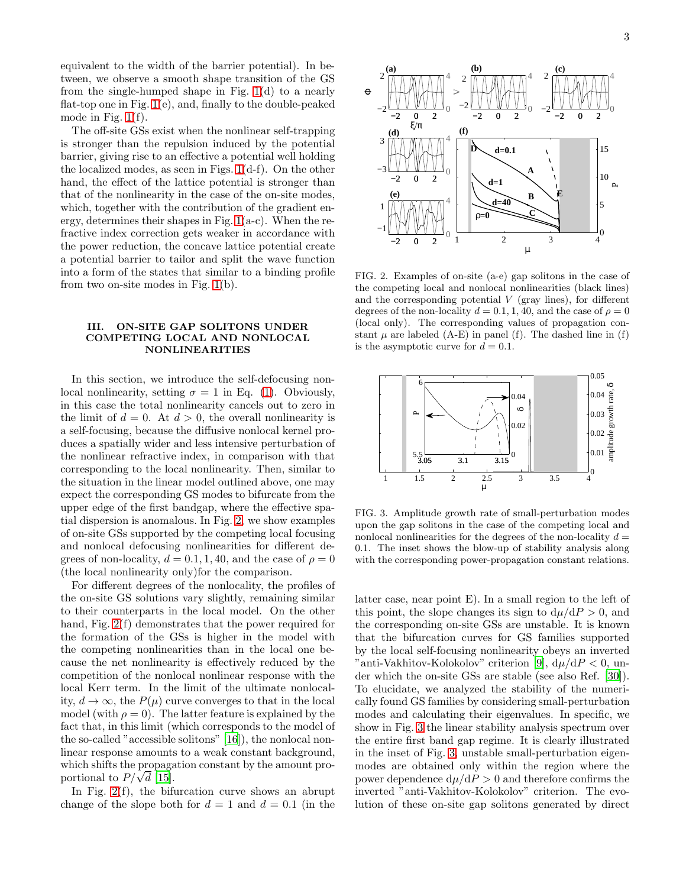equivalent to the width of the barrier potential). In between, we observe a smooth shape transition of the GS from the single-humped shape in Fig. [1\(](#page-1-2)d) to a nearly flat-top one in Fig. [1\(](#page-1-2)e), and, finally to the double-peaked mode in Fig. [1\(](#page-1-2)f).

The off-site GSs exist when the nonlinear self-trapping is stronger than the repulsion induced by the potential barrier, giving rise to an effective a potential well holding the localized modes, as seen in Figs. [1\(](#page-1-2)d-f). On the other hand, the effect of the lattice potential is stronger than that of the nonlinearity in the case of the on-site modes, which, together with the contribution of the gradient energy, determines their shapes in Fig.  $1(a-c)$ . When the refractive index correction gets weaker in accordance with the power reduction, the concave lattice potential create a potential barrier to tailor and split the wave function into a form of the states that similar to a binding profile from two on-site modes in Fig. [1\(](#page-1-2)b).

# <span id="page-2-0"></span>III. ON-SITE GAP SOLITONS UNDER COMPETING LOCAL AND NONLOCAL NONLINEARITIES

In this section, we introduce the self-defocusing nonlocal nonlinearity, setting  $\sigma = 1$  in Eq. [\(1\)](#page-1-1). Obviously, in this case the total nonlinearity cancels out to zero in the limit of  $d = 0$ . At  $d > 0$ , the overall nonlinearity is a self-focusing, because the diffusive nonlocal kernel produces a spatially wider and less intensive perturbation of the nonlinear refractive index, in comparison with that corresponding to the local nonlinearity. Then, similar to the situation in the linear model outlined above, one may expect the corresponding GS modes to bifurcate from the upper edge of the first bandgap, where the effective spatial dispersion is anomalous. In Fig. [2,](#page-2-1) we show examples of on-site GSs supported by the competing local focusing and nonlocal defocusing nonlinearities for different degrees of non-locality,  $d = 0.1, 1, 40$ , and the case of  $\rho = 0$ (the local nonlinearity only)for the comparison.

For different degrees of the nonlocality, the profiles of the on-site GS solutions vary slightly, remaining similar to their counterparts in the local model. On the other hand, Fig.  $2(f)$  demonstrates that the power required for the formation of the GSs is higher in the model with the competing nonlinearities than in the local one because the net nonlinearity is effectively reduced by the competition of the nonlocal nonlinear response with the local Kerr term. In the limit of the ultimate nonlocality,  $d \to \infty$ , the  $P(\mu)$  curve converges to that in the local model (with  $\rho = 0$ ). The latter feature is explained by the fact that, in this limit (which corresponds to the model of the so-called "accessible solitons" [\[16](#page-6-11)]), the nonlocal nonlinear response amounts to a weak constant background, which shifts the propagation constant by the amount proportional to  $P/\sqrt{d}$  [\[15\]](#page-6-10).

In Fig.  $2(f)$ , the bifurcation curve shows an abrupt change of the slope both for  $d = 1$  and  $d = 0.1$  (in the



<span id="page-2-1"></span>FIG. 2. Examples of on-site (a-e) gap solitons in the case of the competing local and nonlocal nonlinearities (black lines) and the corresponding potential  $V$  (gray lines), for different degrees of the non-locality  $d = 0.1, 1, 40$ , and the case of  $\rho = 0$ (local only). The corresponding values of propagation constant  $\mu$  are labeled (A-E) in panel (f). The dashed line in (f) is the asymptotic curve for  $d = 0.1$ .



<span id="page-2-2"></span>FIG. 3. Amplitude growth rate of small-perturbation modes upon the gap solitons in the case of the competing local and nonlocal nonlinearities for the degrees of the non-locality  $d =$ 0.1. The inset shows the blow-up of stability analysis along with the corresponding power-propagation constant relations.

latter case, near point E). In a small region to the left of this point, the slope changes its sign to  $d\mu/dP > 0$ , and the corresponding on-site GSs are unstable. It is known that the bifurcation curves for GS families supported by the local self-focusing nonlinearity obeys an inverted "anti-Vakhitov-Kolokolov" criterion [\[9\]](#page-6-6),  $d\mu/dP < 0$ , under which the on-site GSs are stable (see also Ref. [\[30\]](#page-6-25)). To elucidate, we analyzed the stability of the numerically found GS families by considering small-perturbation modes and calculating their eigenvalues. In specific, we show in Fig. [3](#page-2-2) the linear stability analysis spectrum over the entire first band gap regime. It is clearly illustrated in the inset of Fig. [3,](#page-2-2) unstable small-perturbation eigenmodes are obtained only within the region where the power dependence  $d\mu/dP > 0$  and therefore confirms the inverted "anti-Vakhitov-Kolokolov" criterion. The evolution of these on-site gap solitons generated by direct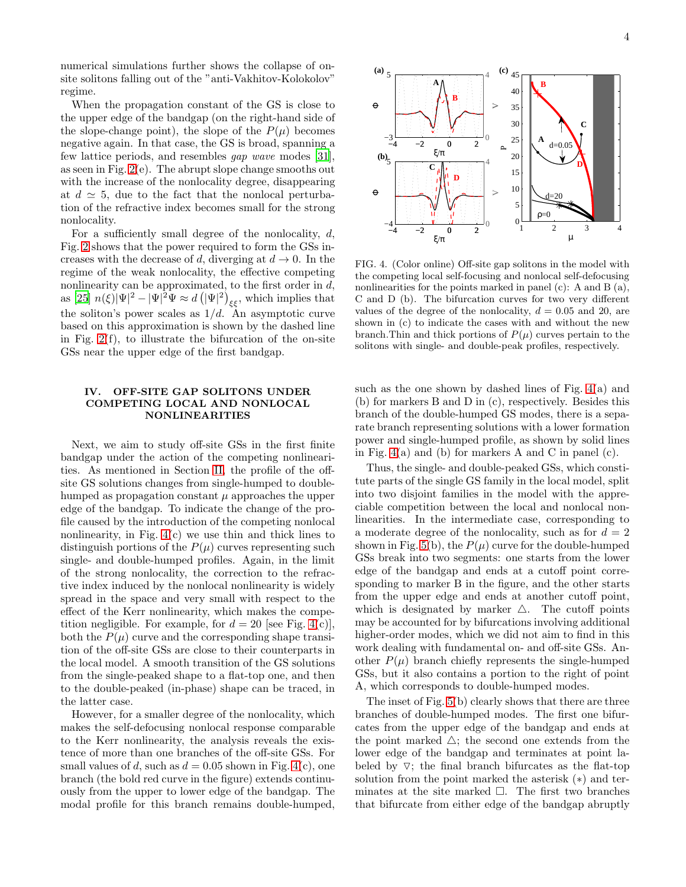numerical simulations further shows the collapse of onsite solitons falling out of the "anti-Vakhitov-Kolokolov" regime.

When the propagation constant of the GS is close to the upper edge of the bandgap (on the right-hand side of the slope-change point), the slope of the  $P(\mu)$  becomes negative again. In that case, the GS is broad, spanning a few lattice periods, and resembles gap wave modes [\[31\]](#page-7-0), as seen in Fig. [2\(](#page-2-1)e). The abrupt slope change smooths out with the increase of the nonlocality degree, disappearing at  $d \simeq 5$ , due to the fact that the nonlocal perturbation of the refractive index becomes small for the strong nonlocality.

For a sufficiently small degree of the nonlocality,  $d$ , Fig. [2](#page-2-1) shows that the power required to form the GSs increases with the decrease of d, diverging at  $d \to 0$ . In the regime of the weak nonlocality, the effective competing nonlinearity can be approximated, to the first order in  $d$ , as [\[25\]](#page-6-20)  $n(\xi)|\Psi|^2 - |\Psi|^2 \Psi \approx d\left(|\Psi|^2\right)_{\xi\xi}$ , which implies that the soliton's power scales as  $1/d$ . An asymptotic curve based on this approximation is shown by the dashed line in Fig. [2\(](#page-2-1)f), to illustrate the bifurcation of the on-site GSs near the upper edge of the first bandgap.

## <span id="page-3-0"></span>IV. OFF-SITE GAP SOLITONS UNDER COMPETING LOCAL AND NONLOCAL NONLINEARITIES

Next, we aim to study off-site GSs in the first finite bandgap under the action of the competing nonlinearities. As mentioned in Section [II,](#page-1-0) the profile of the offsite GS solutions changes from single-humped to doublehumped as propagation constant  $\mu$  approaches the upper edge of the bandgap. To indicate the change of the profile caused by the introduction of the competing nonlocal nonlinearity, in Fig.  $4(c)$  we use thin and thick lines to distinguish portions of the  $P(\mu)$  curves representing such single- and double-humped profiles. Again, in the limit of the strong nonlocality, the correction to the refractive index induced by the nonlocal nonlinearity is widely spread in the space and very small with respect to the effect of the Kerr nonlinearity, which makes the competition negligible. For example, for  $d = 20$  [see Fig. [4\(](#page-3-1)c)], both the  $P(\mu)$  curve and the corresponding shape transition of the off-site GSs are close to their counterparts in the local model. A smooth transition of the GS solutions from the single-peaked shape to a flat-top one, and then to the double-peaked (in-phase) shape can be traced, in the latter case.

However, for a smaller degree of the nonlocality, which makes the self-defocusing nonlocal response comparable to the Kerr nonlinearity, the analysis reveals the existence of more than one branches of the off-site GSs. For small values of d, such as  $d = 0.05$  shown in Fig. [4\(](#page-3-1)c), one branch (the bold red curve in the figure) extends continuously from the upper to lower edge of the bandgap. The modal profile for this branch remains double-humped,



<span id="page-3-1"></span>FIG. 4. (Color online) Off-site gap solitons in the model with the competing local self-focusing and nonlocal self-defocusing nonlinearities for the points marked in panel (c): A and B (a), C and D (b). The bifurcation curves for two very different values of the degree of the nonlocality,  $d = 0.05$  and 20, are shown in (c) to indicate the cases with and without the new branch. Thin and thick portions of  $P(\mu)$  curves pertain to the solitons with single- and double-peak profiles, respectively.

such as the one shown by dashed lines of Fig.  $4(a)$  and (b) for markers B and D in (c), respectively. Besides this branch of the double-humped GS modes, there is a separate branch representing solutions with a lower formation power and single-humped profile, as shown by solid lines in Fig. [4\(](#page-3-1)a) and (b) for markers A and C in panel (c).

Thus, the single- and double-peaked GSs, which constitute parts of the single GS family in the local model, split into two disjoint families in the model with the appreciable competition between the local and nonlocal nonlinearities. In the intermediate case, corresponding to a moderate degree of the nonlocality, such as for  $d = 2$ shown in Fig. [5\(](#page-4-0)b), the  $P(\mu)$  curve for the double-humped GSs break into two segments: one starts from the lower edge of the bandgap and ends at a cutoff point corresponding to marker B in the figure, and the other starts from the upper edge and ends at another cutoff point, which is designated by marker  $\triangle$ . The cutoff points may be accounted for by bifurcations involving additional higher-order modes, which we did not aim to find in this work dealing with fundamental on- and off-site GSs. Another  $P(\mu)$  branch chiefly represents the single-humped GSs, but it also contains a portion to the right of point A, which corresponds to double-humped modes.

The inset of Fig. [5\(](#page-4-0)b) clearly shows that there are three branches of double-humped modes. The first one bifurcates from the upper edge of the bandgap and ends at the point marked  $\triangle$ ; the second one extends from the lower edge of the bandgap and terminates at point labeled by  $\nabla$ ; the final branch bifurcates as the flat-top solution from the point marked the asterisk (∗) and terminates at the site marked  $\Box$ . The first two branches that bifurcate from either edge of the bandgap abruptly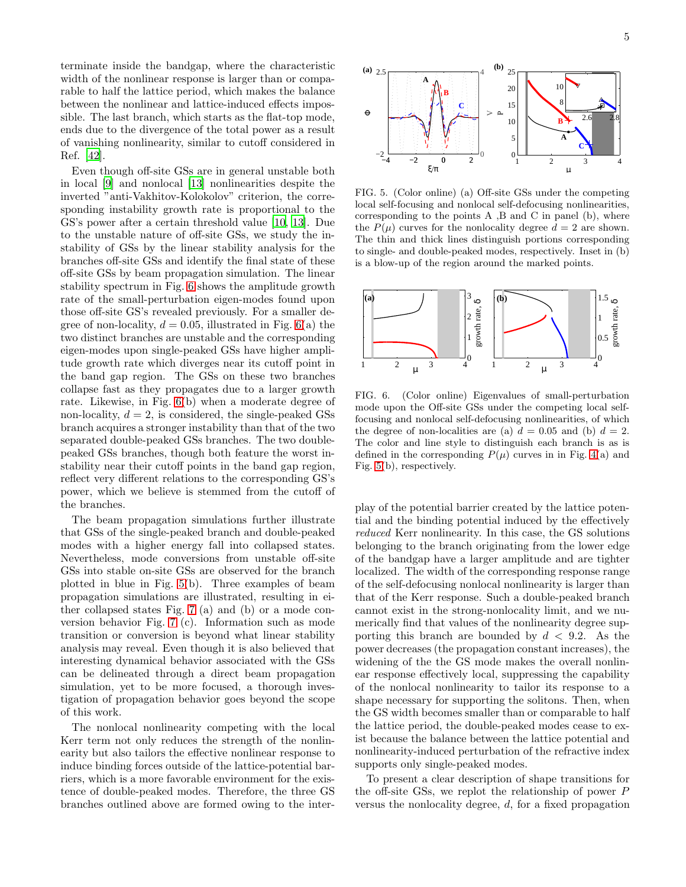terminate inside the bandgap, where the characteristic width of the nonlinear response is larger than or comparable to half the lattice period, which makes the balance between the nonlinear and lattice-induced effects impossible. The last branch, which starts as the flat-top mode, ends due to the divergence of the total power as a result of vanishing nonlinearity, similar to cutoff considered in Ref. [\[42\]](#page-7-9).

Even though off-site GSs are in general unstable both in local [\[9](#page-6-6)] and nonlocal [\[13](#page-6-26)] nonlinearities despite the inverted "anti-Vakhitov-Kolokolov" criterion, the corresponding instability growth rate is proportional to the GS's power after a certain threshold value [\[10,](#page-6-7) [13](#page-6-26)]. Due to the unstable nature of off-site GSs, we study the instability of GSs by the linear stability analysis for the branches off-site GSs and identify the final state of these off-site GSs by beam propagation simulation. The linear stability spectrum in Fig. [6](#page-4-1) shows the amplitude growth rate of the small-perturbation eigen-modes found upon those off-site GS's revealed previously. For a smaller degree of non-locality,  $d = 0.05$ , illustrated in Fig. [6\(](#page-4-1)a) the two distinct branches are unstable and the corresponding eigen-modes upon single-peaked GSs have higher amplitude growth rate which diverges near its cutoff point in the band gap region. The GSs on these two branches collapse fast as they propagates due to a larger growth rate. Likewise, in Fig. [6\(](#page-4-1)b) when a moderate degree of non-locality,  $d = 2$ , is considered, the single-peaked GSs branch acquires a stronger instability than that of the two separated double-peaked GSs branches. The two doublepeaked GSs branches, though both feature the worst instability near their cutoff points in the band gap region, reflect very different relations to the corresponding GS's power, which we believe is stemmed from the cutoff of the branches.

The beam propagation simulations further illustrate that GSs of the single-peaked branch and double-peaked modes with a higher energy fall into collapsed states. Nevertheless, mode conversions from unstable off-site GSs into stable on-site GSs are observed for the branch plotted in blue in Fig. [5\(](#page-4-0)b). Three examples of beam propagation simulations are illustrated, resulting in either collapsed states Fig. [7](#page-5-1) (a) and (b) or a mode conversion behavior Fig. [7](#page-5-1) (c). Information such as mode transition or conversion is beyond what linear stability analysis may reveal. Even though it is also believed that interesting dynamical behavior associated with the GSs can be delineated through a direct beam propagation simulation, yet to be more focused, a thorough investigation of propagation behavior goes beyond the scope of this work.

The nonlocal nonlinearity competing with the local Kerr term not only reduces the strength of the nonlinearity but also tailors the effective nonlinear response to induce binding forces outside of the lattice-potential barriers, which is a more favorable environment for the existence of double-peaked modes. Therefore, the three GS branches outlined above are formed owing to the inter-



<span id="page-4-0"></span>FIG. 5. (Color online) (a) Off-site GSs under the competing local self-focusing and nonlocal self-defocusing nonlinearities, corresponding to the points A ,B and C in panel (b), where the  $P(\mu)$  curves for the nonlocality degree  $d = 2$  are shown. The thin and thick lines distinguish portions corresponding to single- and double-peaked modes, respectively. Inset in (b) is a blow-up of the region around the marked points.



<span id="page-4-1"></span>FIG. 6. (Color online) Eigenvalues of small-perturbation mode upon the Off-site GSs under the competing local selffocusing and nonlocal self-defocusing nonlinearities, of which the degree of non-localities are (a)  $d = 0.05$  and (b)  $d = 2$ . The color and line style to distinguish each branch is as is defined in the corresponding  $P(\mu)$  curves in in Fig. [4\(](#page-3-1)a) and Fig. [5\(](#page-4-0)b), respectively.

play of the potential barrier created by the lattice potential and the binding potential induced by the effectively reduced Kerr nonlinearity. In this case, the GS solutions belonging to the branch originating from the lower edge of the bandgap have a larger amplitude and are tighter localized. The width of the corresponding response range of the self-defocusing nonlocal nonlinearity is larger than that of the Kerr response. Such a double-peaked branch cannot exist in the strong-nonlocality limit, and we numerically find that values of the nonlinearity degree supporting this branch are bounded by  $d < 9.2$ . As the power decreases (the propagation constant increases), the widening of the the GS mode makes the overall nonlinear response effectively local, suppressing the capability of the nonlocal nonlinearity to tailor its response to a shape necessary for supporting the solitons. Then, when the GS width becomes smaller than or comparable to half the lattice period, the double-peaked modes cease to exist because the balance between the lattice potential and nonlinearity-induced perturbation of the refractive index supports only single-peaked modes.

To present a clear description of shape transitions for the off-site GSs, we replot the relationship of power P versus the nonlocality degree, d, for a fixed propagation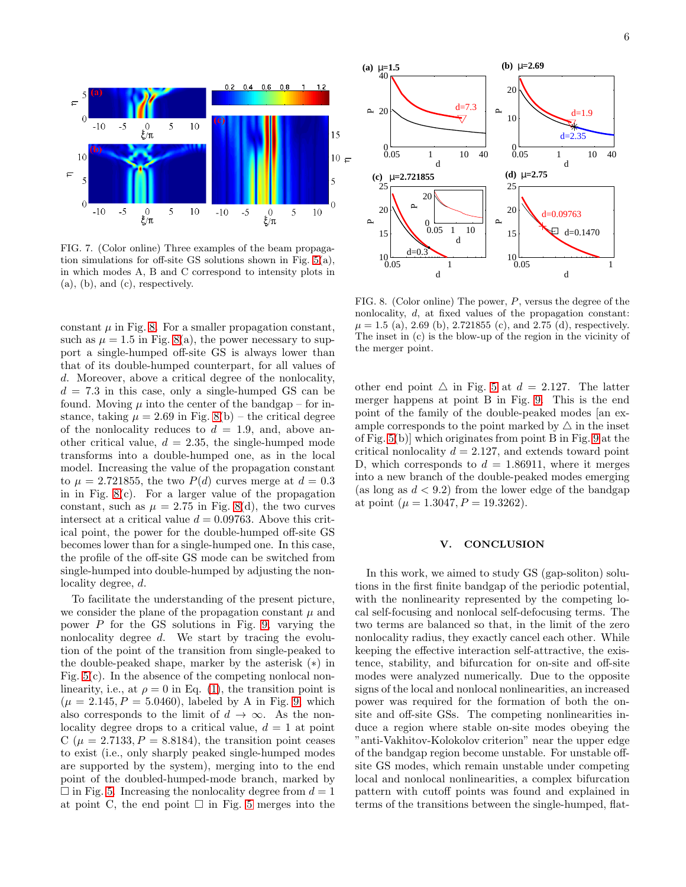

<span id="page-5-1"></span>FIG. 7. (Color online) Three examples of the beam propagation simulations for off-site GS solutions shown in Fig. [5\(](#page-4-0)a), in which modes A, B and C correspond to intensity plots in (a), (b), and (c), respectively.

constant  $\mu$  in Fig. [8.](#page-5-2) For a smaller propagation constant, such as  $\mu = 1.5$  in Fig. [8\(](#page-5-2)a), the power necessary to support a single-humped off-site GS is always lower than that of its double-humped counterpart, for all values of d. Moreover, above a critical degree of the nonlocality,  $d = 7.3$  in this case, only a single-humped GS can be found. Moving  $\mu$  into the center of the bandgap – for instance, taking  $\mu = 2.69$  in Fig. [8\(](#page-5-2)b) – the critical degree of the nonlocality reduces to  $d = 1.9$ , and, above another critical value,  $d = 2.35$ , the single-humped mode transforms into a double-humped one, as in the local model. Increasing the value of the propagation constant to  $\mu = 2.721855$ , the two  $P(d)$  curves merge at  $d = 0.3$ in in Fig. [8\(](#page-5-2)c). For a larger value of the propagation constant, such as  $\mu = 2.75$  in Fig. [8\(](#page-5-2)d), the two curves intersect at a critical value  $d = 0.09763$ . Above this critical point, the power for the double-humped off-site GS becomes lower than for a single-humped one. In this case, the profile of the off-site GS mode can be switched from single-humped into double-humped by adjusting the nonlocality degree, d.

To facilitate the understanding of the present picture, we consider the plane of the propagation constant  $\mu$  and power  $P$  for the GS solutions in Fig. [9,](#page-6-27) varying the nonlocality degree d. We start by tracing the evolution of the point of the transition from single-peaked to the double-peaked shape, marker by the asterisk (∗) in Fig.  $5(c)$ . In the absence of the competing nonlocal nonlinearity, i.e., at  $\rho = 0$  in Eq. [\(1\)](#page-1-1), the transition point is  $(\mu = 2.145, P = 5.0460)$ , labeled by A in Fig. [9,](#page-6-27) which also corresponds to the limit of  $d \to \infty$ . As the nonlocality degree drops to a critical value,  $d = 1$  at point C ( $\mu = 2.7133, P = 8.8184$ ), the transition point ceases to exist (i.e., only sharply peaked single-humped modes are supported by the system), merging into to the end point of the doubled-humped-mode branch, marked by  $\Box$  in Fig. [5.](#page-4-0) Increasing the nonlocality degree from  $d = 1$ at point C, the end point  $\square$  in Fig. [5](#page-4-0) merges into the



<span id="page-5-2"></span>FIG. 8. (Color online) The power, P, versus the degree of the nonlocality, d, at fixed values of the propagation constant:  $\mu = 1.5$  (a), 2.69 (b), 2.721855 (c), and 2.75 (d), respectively. The inset in (c) is the blow-up of the region in the vicinity of the merger point.

other end point  $\triangle$  in Fig. [5](#page-4-0) at  $d = 2.127$ . The latter merger happens at point B in Fig. [9.](#page-6-27) This is the end point of the family of the double-peaked modes [an example corresponds to the point marked by  $\triangle$  in the inset of Fig. [5\(](#page-4-0)b)] which originates from point B in Fig. [9](#page-6-27) at the critical nonlocality  $d = 2.127$ , and extends toward point D, which corresponds to  $d = 1.86911$ , where it merges into a new branch of the double-peaked modes emerging (as long as  $d < 9.2$ ) from the lower edge of the bandgap at point ( $\mu = 1.3047, P = 19.3262$ ).

## <span id="page-5-0"></span>V. CONCLUSION

In this work, we aimed to study GS (gap-soliton) solutions in the first finite bandgap of the periodic potential, with the nonlinearity represented by the competing local self-focusing and nonlocal self-defocusing terms. The two terms are balanced so that, in the limit of the zero nonlocality radius, they exactly cancel each other. While keeping the effective interaction self-attractive, the existence, stability, and bifurcation for on-site and off-site modes were analyzed numerically. Due to the opposite signs of the local and nonlocal nonlinearities, an increased power was required for the formation of both the onsite and off-site GSs. The competing nonlinearities induce a region where stable on-site modes obeying the "anti-Vakhitov-Kolokolov criterion" near the upper edge of the bandgap region become unstable. For unstable offsite GS modes, which remain unstable under competing local and nonlocal nonlinearities, a complex bifurcation pattern with cutoff points was found and explained in terms of the transitions between the single-humped, flat-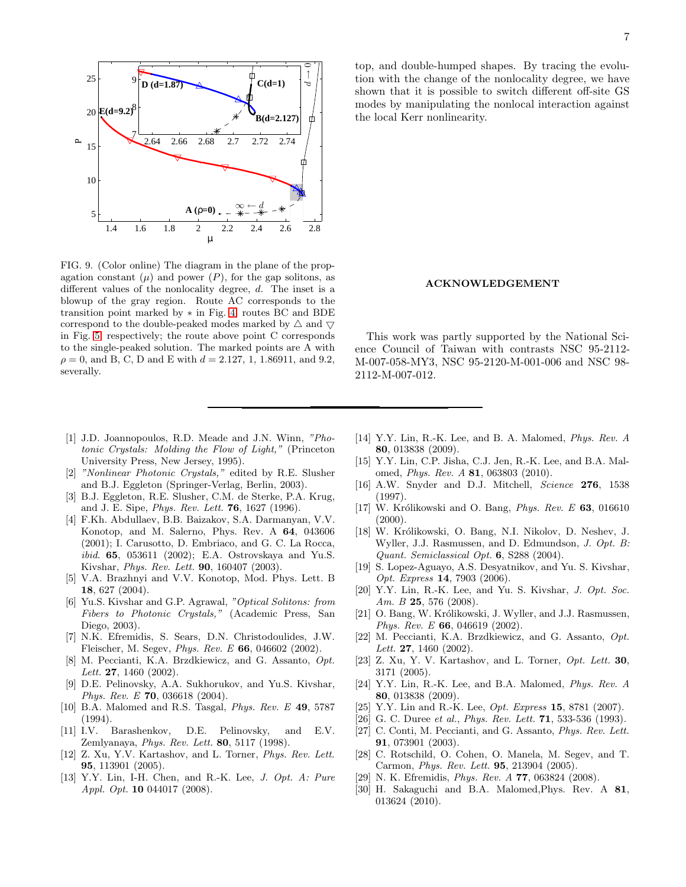

<span id="page-6-27"></span>FIG. 9. (Color online) The diagram in the plane of the propagation constant  $(\mu)$  and power  $(P)$ , for the gap solitons, as different values of the nonlocality degree, d. The inset is a blowup of the gray region. Route AC corresponds to the transition point marked by ∗ in Fig. [4;](#page-3-1) routes BC and BDE correspond to the double-peaked modes marked by  $\triangle$  and  $\nabla$ in Fig. [5,](#page-4-0) respectively; the route above point C corresponds to the single-peaked solution. The marked points are A with  $\rho = 0$ , and B, C, D and E with  $d = 2.127, 1, 1.86911$ , and 9.2, severally.

- <span id="page-6-0"></span>[1] J.D. Joannopoulos, R.D. Meade and J.N. Winn, *"Photonic Crystals: Molding the Flow of Light,"* (Princeton University Press, New Jersey, 1995).
- <span id="page-6-1"></span>[2] *"Nonlinear Photonic Crystals,"* edited by R.E. Slusher and B.J. Eggleton (Springer-Verlag, Berlin, 2003).
- [3] B.J. Eggleton, R.E. Slusher, C.M. de Sterke, P.A. Krug, and J. E. Sipe, *Phys. Rev. Lett.* 76, 1627 (1996).
- [4] F.Kh. Abdullaev, B.B. Baizakov, S.A. Darmanyan, V.V. Konotop, and M. Salerno, Phys. Rev. A 64, 043606 (2001); I. Carusotto, D. Embriaco, and G. C. La Rocca, *ibid*. 65, 053611 (2002); E.A. Ostrovskaya and Yu.S. Kivshar, *Phys. Rev. Lett.* 90, 160407 (2003).
- <span id="page-6-2"></span>[5] V.A. Brazhnyi and V.V. Konotop, Mod. Phys. Lett. B 18, 627 (2004).
- <span id="page-6-3"></span>[6] Yu.S. Kivshar and G.P. Agrawal, *"Optical Solitons: from Fibers to Photonic Crystals,"* (Academic Press, San Diego, 2003).
- <span id="page-6-4"></span>[7] N.K. Efremidis, S. Sears, D.N. Christodoulides, J.W. Fleischer, M. Segev, *Phys. Rev. E* 66, 046602 (2002).
- <span id="page-6-5"></span>[8] M. Peccianti, K.A. Brzdkiewicz, and G. Assanto, *Opt. Lett.* 27, 1460 (2002).
- <span id="page-6-6"></span>[9] D.E. Pelinovsky, A.A. Sukhorukov, and Yu.S. Kivshar, *Phys. Rev. E* 70, 036618 (2004).
- <span id="page-6-7"></span>[10] B.A. Malomed and R.S. Tasgal, *Phys. Rev. E* 49, 5787  $(1994)$ .
- <span id="page-6-8"></span>[11] I.V. Barashenkov, D.E. Pelinovsky, and E.V. Zemlyanaya, *Phys. Rev. Lett.* 80, 5117 (1998).
- <span id="page-6-9"></span>[12] Z. Xu, Y.V. Kartashov, and L. Torner, *Phys. Rev. Lett.* 95, 113901 (2005).
- <span id="page-6-26"></span>[13] Y.Y. Lin, I-H. Chen, and R.-K. Lee, *J. Opt. A: Pure Appl. Opt.* 10 044017 (2008).

top, and double-humped shapes. By tracing the evolution with the change of the nonlocality degree, we have shown that it is possible to switch different off-site GS modes by manipulating the nonlocal interaction against the local Kerr nonlinearity.

# ACKNOWLEDGEMENT

This work was partly supported by the National Science Council of Taiwan with contrasts NSC 95-2112- M-007-058-MY3, NSC 95-2120-M-001-006 and NSC 98- 2112-M-007-012.

- [14] Y.Y. Lin, R.-K. Lee, and B. A. Malomed, *Phys. Rev. A* 80, 013838 (2009).
- <span id="page-6-10"></span>[15] Y.Y. Lin, C.P. Jisha, C.J. Jen, R.-K. Lee, and B.A. Malomed, *Phys. Rev. A* 81, 063803 (2010).
- <span id="page-6-11"></span>[16] A.W. Snyder and D.J. Mitchell, *Science* 276, 1538 (1997).
- <span id="page-6-12"></span>[17] W. Królikowski and O. Bang, *Phys. Rev. E* 63, 016610  $(2000).$
- <span id="page-6-13"></span>[18] W. Królikowski, O. Bang, N.I. Nikolov, D. Neshev, J. Wyller, J.J. Rasmussen, and D. Edmundson, *J. Opt. B: Quant. Semiclassical Opt.* 6, S288 (2004).
- <span id="page-6-14"></span>[19] S. Lopez-Aguayo, A.S. Desyatnikov, and Yu. S. Kivshar, *Opt. Express* 14, 7903 (2006).
- <span id="page-6-15"></span>[20] Y.Y. Lin, R.-K. Lee, and Yu. S. Kivshar, *J. Opt. Soc. Am. B* 25, 576 (2008).
- <span id="page-6-16"></span>[21] O. Bang, W. Królikowski, J. Wyller, and J.J. Rasmussen, *Phys. Rev. E* 66, 046619 (2002).
- <span id="page-6-17"></span>[22] M. Peccianti, K.A. Brzdkiewicz, and G. Assanto, *Opt. Lett.* 27, 1460 (2002).
- <span id="page-6-18"></span>[23] Z. Xu, Y. V. Kartashov, and L. Torner, *Opt. Lett.* 30, 3171 (2005).
- <span id="page-6-19"></span>[24] Y.Y. Lin, R.-K. Lee, and B.A. Malomed, *Phys. Rev. A* 80, 013838 (2009).
- <span id="page-6-20"></span>[25] Y.Y. Lin and R.-K. Lee, *Opt. Express* 15, 8781 (2007).
- <span id="page-6-21"></span>[26] G. C. Duree *et al.*, *Phys. Rev. Lett.* 71, 533-536 (1993).
- <span id="page-6-22"></span>[27] C. Conti, M. Peccianti, and G. Assanto, *Phys. Rev. Lett.* 91, 073901 (2003).
- <span id="page-6-23"></span>[28] C. Rotschild, O. Cohen, O. Manela, M. Segev, and T. Carmon, *Phys. Rev. Lett.* 95, 213904 (2005).
- <span id="page-6-24"></span>[29] N. K. Efremidis, *Phys. Rev. A* 77, 063824 (2008).
- <span id="page-6-25"></span>[30] H. Sakaguchi and B.A. Malomed,Phys. Rev. A 81, 013624 (2010).